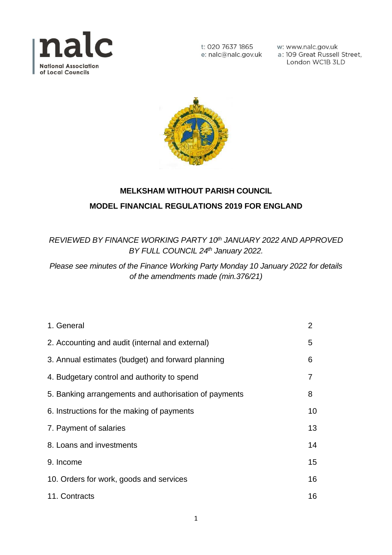

w: www.nalc.gov.uk a: 109 Great Russell Street, London WC1B 3LD



# **MELKSHAM WITHOUT PARISH COUNCIL MODEL FINANCIAL REGULATIONS 2019 FOR ENGLAND**

*REVIEWED BY FINANCE WORKING PARTY 10th JANUARY 2022 AND APPROVED BY FULL COUNCIL 24th January 2022.*

*Please see minutes of the Finance Working Party Monday 10 January 2022 for details of the amendments made (min.376/21)*

| 1. General                                            | $\overline{2}$ |
|-------------------------------------------------------|----------------|
| 2. Accounting and audit (internal and external)       | 5              |
| 3. Annual estimates (budget) and forward planning     | 6              |
| 4. Budgetary control and authority to spend           | 7              |
| 5. Banking arrangements and authorisation of payments | 8              |
| 6. Instructions for the making of payments            | 10             |
| 7. Payment of salaries                                | 13             |
| 8. Loans and investments                              | 14             |
| 9. Income                                             | 15             |
| 10. Orders for work, goods and services               | 16             |
| 11. Contracts                                         | 16             |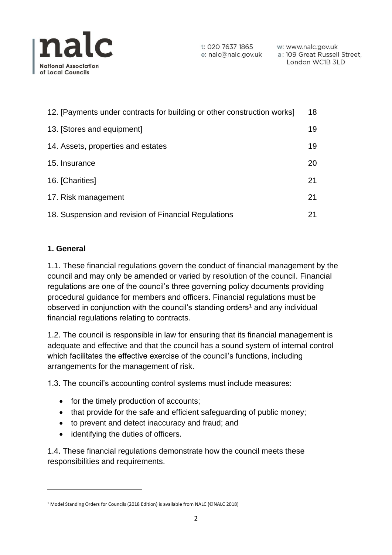

| 12. [Payments under contracts for building or other construction works] | 18 |
|-------------------------------------------------------------------------|----|
| 13. [Stores and equipment]                                              | 19 |
| 14. Assets, properties and estates                                      | 19 |
| 15. Insurance                                                           | 20 |
| 16. [Charities]                                                         | 21 |
| 17. Risk management                                                     | 21 |
| 18. Suspension and revision of Financial Regulations                    | 21 |

# **1. General**

1.1. These financial regulations govern the conduct of financial management by the council and may only be amended or varied by resolution of the council. Financial regulations are one of the council's three governing policy documents providing procedural guidance for members and officers. Financial regulations must be observed in conjunction with the council's standing orders<sup>1</sup> and any individual financial regulations relating to contracts.

1.2. The council is responsible in law for ensuring that its financial management is adequate and effective and that the council has a sound system of internal control which facilitates the effective exercise of the council's functions, including arrangements for the management of risk.

1.3. The council's accounting control systems must include measures:

- for the timely production of accounts;
- that provide for the safe and efficient safeguarding of public money;
- to prevent and detect inaccuracy and fraud; and
- identifying the duties of officers.

1.4. These financial regulations demonstrate how the council meets these responsibilities and requirements.

<sup>&</sup>lt;sup>1</sup> Model Standing Orders for Councils (2018 Edition) is available from NALC (©NALC 2018)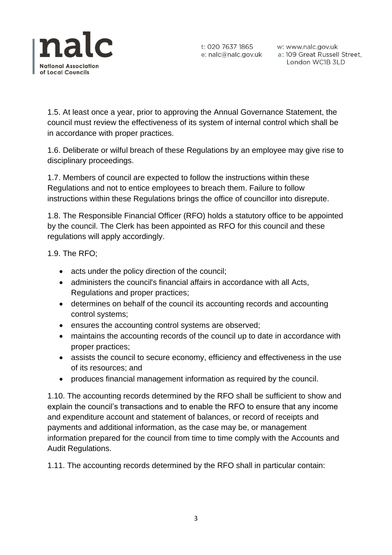

w: www.nalc.gov.uk a: 109 Great Russell Street, London WC1B 3LD

1.5. At least once a year, prior to approving the Annual Governance Statement, the council must review the effectiveness of its system of internal control which shall be in accordance with proper practices.

1.6. Deliberate or wilful breach of these Regulations by an employee may give rise to disciplinary proceedings.

1.7. Members of council are expected to follow the instructions within these Regulations and not to entice employees to breach them. Failure to follow instructions within these Regulations brings the office of councillor into disrepute.

1.8. The Responsible Financial Officer (RFO) holds a statutory office to be appointed by the council. The Clerk has been appointed as RFO for this council and these regulations will apply accordingly.

1.9. The RFO;

- acts under the policy direction of the council;
- administers the council's financial affairs in accordance with all Acts, Regulations and proper practices;
- determines on behalf of the council its accounting records and accounting control systems;
- ensures the accounting control systems are observed;
- maintains the accounting records of the council up to date in accordance with proper practices;
- assists the council to secure economy, efficiency and effectiveness in the use of its resources; and
- produces financial management information as required by the council.

1.10. The accounting records determined by the RFO shall be sufficient to show and explain the council's transactions and to enable the RFO to ensure that any income and expenditure account and statement of balances, or record of receipts and payments and additional information, as the case may be, or management information prepared for the council from time to time comply with the Accounts and Audit Regulations.

1.11. The accounting records determined by the RFO shall in particular contain: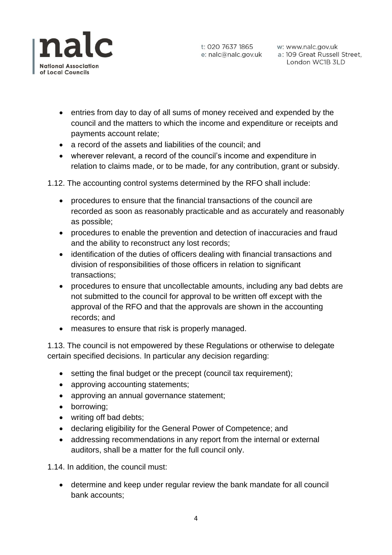

t: 020 7637 1865 w: www.nalc.gov.uk<br>e: nalc@nalc.gov.uk a: 109 Great Russell Street, London WC1B 3LD

- entries from day to day of all sums of money received and expended by the council and the matters to which the income and expenditure or receipts and payments account relate;
- a record of the assets and liabilities of the council; and
- wherever relevant, a record of the council's income and expenditure in relation to claims made, or to be made, for any contribution, grant or subsidy.

1.12. The accounting control systems determined by the RFO shall include:

- procedures to ensure that the financial transactions of the council are recorded as soon as reasonably practicable and as accurately and reasonably as possible;
- procedures to enable the prevention and detection of inaccuracies and fraud and the ability to reconstruct any lost records;
- identification of the duties of officers dealing with financial transactions and division of responsibilities of those officers in relation to significant transactions;
- procedures to ensure that uncollectable amounts, including any bad debts are not submitted to the council for approval to be written off except with the approval of the RFO and that the approvals are shown in the accounting records; and
- measures to ensure that risk is properly managed.

1.13. The council is not empowered by these Regulations or otherwise to delegate certain specified decisions. In particular any decision regarding:

- setting the final budget or the precept (council tax requirement):
- approving accounting statements;
- approving an annual governance statement;
- borrowing;
- writing off bad debts;
- declaring eligibility for the General Power of Competence; and
- addressing recommendations in any report from the internal or external auditors, shall be a matter for the full council only.

1.14. In addition, the council must:

• determine and keep under regular review the bank mandate for all council bank accounts;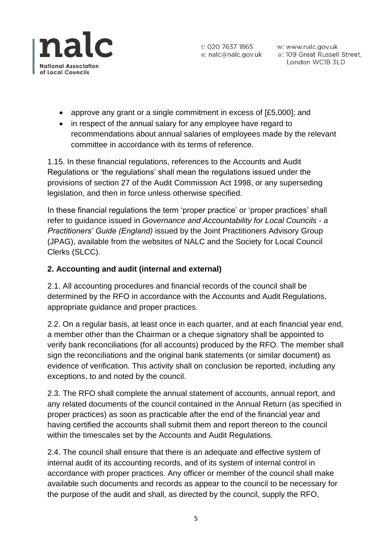

w: www.nalc.gov.uk a: 109 Great Russell Street, London WC1B 3LD

- approve any grant or a single commitment in excess of [£5,000]; and
- in respect of the annual salary for any employee have regard to recommendations about annual salaries of employees made by the relevant committee in accordance with its terms of reference.

1.15. In these financial regulations, references to the Accounts and Audit Regulations or 'the regulations' shall mean the regulations issued under the provisions of section 27 of the Audit Commission Act 1998, or any superseding legislation, and then in force unless otherwise specified.

In these financial regulations the term 'proper practice' or 'proper practices' shall refer to guidance issued in *Governance and Accountability for Local Councils - a Practitioners' Guide (England)* issued by the Joint Practitioners Advisory Group (JPAG), available from the websites of NALC and the Society for Local Council Clerks (SLCC).

# **2. Accounting and audit (internal and external)**

2.1. All accounting procedures and financial records of the council shall be determined by the RFO in accordance with the Accounts and Audit Regulations, appropriate guidance and proper practices.

2.2. On a regular basis, at least once in each quarter, and at each financial year end, a member other than the Chairman or a cheque signatory shall be appointed to verify bank reconciliations (for all accounts) produced by the RFO. The member shall sign the reconciliations and the original bank statements (or similar document) as evidence of verification. This activity shall on conclusion be reported, including any exceptions, to and noted by the council.

2.3. The RFO shall complete the annual statement of accounts, annual report, and any related documents of the council contained in the Annual Return (as specified in proper practices) as soon as practicable after the end of the financial year and having certified the accounts shall submit them and report thereon to the council within the timescales set by the Accounts and Audit Regulations.

2.4. The council shall ensure that there is an adequate and effective system of internal audit of its accounting records, and of its system of internal control in accordance with proper practices. Any officer or member of the council shall make available such documents and records as appear to the council to be necessary for the purpose of the audit and shall, as directed by the council, supply the RFO,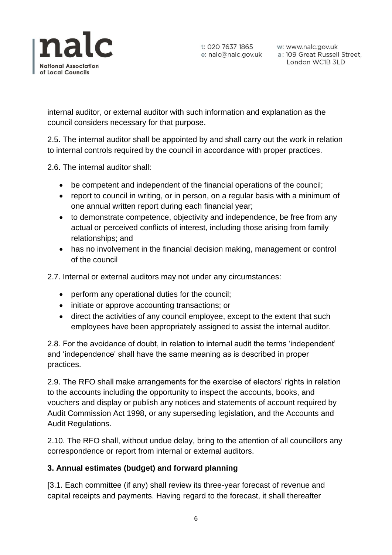

w: www.nalc.gov.uk a: 109 Great Russell Street, London WC1B 3LD

internal auditor, or external auditor with such information and explanation as the council considers necessary for that purpose.

2.5. The internal auditor shall be appointed by and shall carry out the work in relation to internal controls required by the council in accordance with proper practices.

2.6. The internal auditor shall:

- be competent and independent of the financial operations of the council;
- report to council in writing, or in person, on a regular basis with a minimum of one annual written report during each financial year;
- to demonstrate competence, objectivity and independence, be free from any actual or perceived conflicts of interest, including those arising from family relationships; and
- has no involvement in the financial decision making, management or control of the council

2.7. Internal or external auditors may not under any circumstances:

- perform any operational duties for the council;
- initiate or approve accounting transactions; or
- direct the activities of any council employee, except to the extent that such employees have been appropriately assigned to assist the internal auditor.

2.8. For the avoidance of doubt, in relation to internal audit the terms 'independent' and 'independence' shall have the same meaning as is described in proper practices.

2.9. The RFO shall make arrangements for the exercise of electors' rights in relation to the accounts including the opportunity to inspect the accounts, books, and vouchers and display or publish any notices and statements of account required by Audit Commission Act 1998, or any superseding legislation, and the Accounts and Audit Regulations.

2.10. The RFO shall, without undue delay, bring to the attention of all councillors any correspondence or report from internal or external auditors.

### **3. Annual estimates (budget) and forward planning**

[3.1. Each committee (if any) shall review its three-year forecast of revenue and capital receipts and payments. Having regard to the forecast, it shall thereafter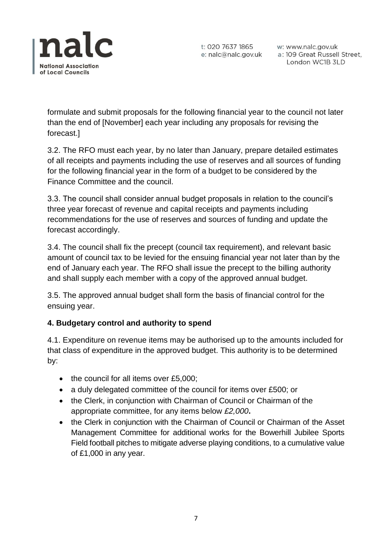

t: 020 7637 1865 w: www.nalc.gov.uk<br>e: nalc@nalc.gov.uk a: 109 Great Russell Street, London WC1B 3LD

formulate and submit proposals for the following financial year to the council not later than the end of [November] each year including any proposals for revising the forecast.]

3.2. The RFO must each year, by no later than January, prepare detailed estimates of all receipts and payments including the use of reserves and all sources of funding for the following financial year in the form of a budget to be considered by the Finance Committee and the council.

3.3. The council shall consider annual budget proposals in relation to the council's three year forecast of revenue and capital receipts and payments including recommendations for the use of reserves and sources of funding and update the forecast accordingly.

3.4. The council shall fix the precept (council tax requirement), and relevant basic amount of council tax to be levied for the ensuing financial year not later than by the end of January each year. The RFO shall issue the precept to the billing authority and shall supply each member with a copy of the approved annual budget.

3.5. The approved annual budget shall form the basis of financial control for the ensuing year.

# **4. Budgetary control and authority to spend**

4.1. Expenditure on revenue items may be authorised up to the amounts included for that class of expenditure in the approved budget. This authority is to be determined by:

- the council for all items over £5,000;
- a duly delegated committee of the council for items over £500; or
- the Clerk, in conjunction with Chairman of Council or Chairman of the appropriate committee, for any items below *£2,000***.**
- the Clerk in conjunction with the Chairman of Council or Chairman of the Asset Management Committee for additional works for the Bowerhill Jubilee Sports Field football pitches to mitigate adverse playing conditions, to a cumulative value of £1,000 in any year.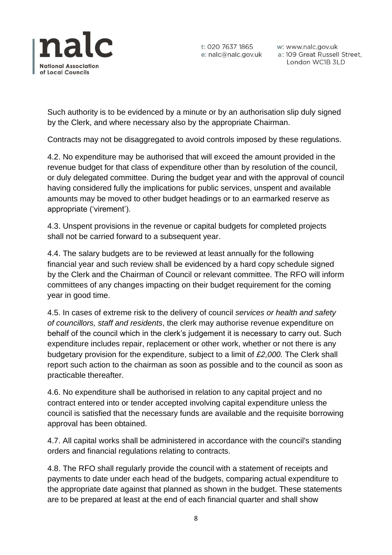

w: www.nalc.gov.uk a: 109 Great Russell Street, London WC1B 3LD

Such authority is to be evidenced by a minute or by an authorisation slip duly signed by the Clerk, and where necessary also by the appropriate Chairman.

Contracts may not be disaggregated to avoid controls imposed by these regulations.

4.2. No expenditure may be authorised that will exceed the amount provided in the revenue budget for that class of expenditure other than by resolution of the council, or duly delegated committee. During the budget year and with the approval of council having considered fully the implications for public services, unspent and available amounts may be moved to other budget headings or to an earmarked reserve as appropriate ('virement').

4.3. Unspent provisions in the revenue or capital budgets for completed projects shall not be carried forward to a subsequent year.

4.4. The salary budgets are to be reviewed at least annually for the following financial year and such review shall be evidenced by a hard copy schedule signed by the Clerk and the Chairman of Council or relevant committee. The RFO will inform committees of any changes impacting on their budget requirement for the coming year in good time.

4.5. In cases of extreme risk to the delivery of council *services or health and safety of councillors, staff and residents*, the clerk may authorise revenue expenditure on behalf of the council which in the clerk's judgement it is necessary to carry out. Such expenditure includes repair, replacement or other work, whether or not there is any budgetary provision for the expenditure, subject to a limit of *£2,000.* The Clerk shall report such action to the chairman as soon as possible and to the council as soon as practicable thereafter.

4.6. No expenditure shall be authorised in relation to any capital project and no contract entered into or tender accepted involving capital expenditure unless the council is satisfied that the necessary funds are available and the requisite borrowing approval has been obtained.

4.7. All capital works shall be administered in accordance with the council's standing orders and financial regulations relating to contracts.

4.8. The RFO shall regularly provide the council with a statement of receipts and payments to date under each head of the budgets, comparing actual expenditure to the appropriate date against that planned as shown in the budget. These statements are to be prepared at least at the end of each financial quarter and shall show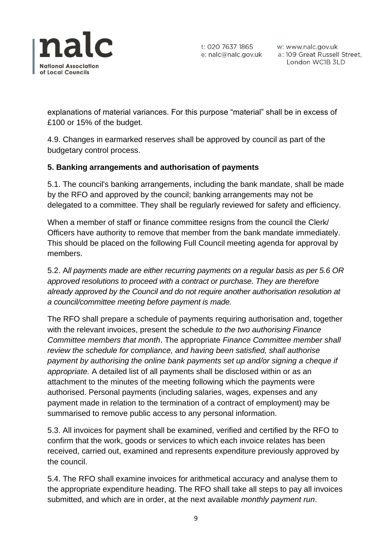

w: www.nalc.gov.uk a: 109 Great Russell Street, London WC1B 3LD

explanations of material variances. For this purpose "material" shall be in excess of £100 or 15% of the budget.

4.9. Changes in earmarked reserves shall be approved by council as part of the budgetary control process.

### **5. Banking arrangements and authorisation of payments**

5.1. The council's banking arrangements, including the bank mandate, shall be made by the RFO and approved by the council; banking arrangements may not be delegated to a committee. They shall be regularly reviewed for safety and efficiency.

When a member of staff or finance committee resigns from the council the Clerk/ Officers have authority to remove that member from the bank mandate immediately. This should be placed on the following Full Council meeting agenda for approval by members.

5.2. A*ll payments made are either recurring payments on a regular basis as per 5.6 OR approved resolutions to proceed with a contract or purchase. They are therefore already approved by the Council and do not require another authorisation resolution at a council/committee meeting before payment is made.*

The RFO shall prepare a schedule of payments requiring authorisation and, together with the relevant invoices, present the schedule *to the two authorising Finance Committee members that month*. The appropriate *Finance Committee member shall review the schedule for compliance, and having been satisfied, shall authorise payment by authorising the online bank payments set up and/or signing a cheque if appropriate.* A detailed list of all payments shall be disclosed within or as an attachment to the minutes of the meeting following which the payments were authorised. Personal payments (including salaries, wages, expenses and any payment made in relation to the termination of a contract of employment) may be summarised to remove public access to any personal information.

5.3. All invoices for payment shall be examined, verified and certified by the RFO to confirm that the work, goods or services to which each invoice relates has been received, carried out, examined and represents expenditure previously approved by the council.

5.4. The RFO shall examine invoices for arithmetical accuracy and analyse them to the appropriate expenditure heading. The RFO shall take all steps to pay all invoices submitted, and which are in order, at the next available *monthly payment run*.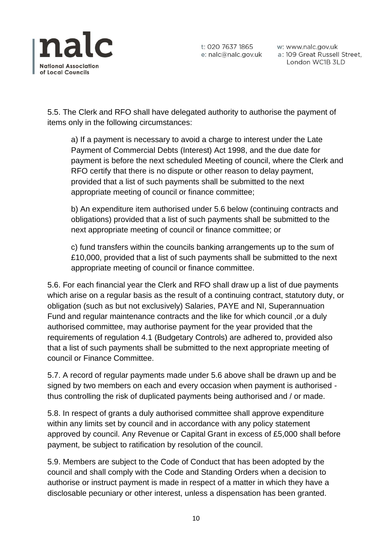

w: www.nalc.gov.uk a: 109 Great Russell Street, London WC1B 3LD

5.5. The Clerk and RFO shall have delegated authority to authorise the payment of items only in the following circumstances:

a) If a payment is necessary to avoid a charge to interest under the Late Payment of Commercial Debts (Interest) Act 1998, and the due date for payment is before the next scheduled Meeting of council, where the Clerk and RFO certify that there is no dispute or other reason to delay payment, provided that a list of such payments shall be submitted to the next appropriate meeting of council or finance committee;

b) An expenditure item authorised under 5.6 below (continuing contracts and obligations) provided that a list of such payments shall be submitted to the next appropriate meeting of council or finance committee; or

c) fund transfers within the councils banking arrangements up to the sum of £10,000, provided that a list of such payments shall be submitted to the next appropriate meeting of council or finance committee.

5.6. For each financial year the Clerk and RFO shall draw up a list of due payments which arise on a regular basis as the result of a continuing contract, statutory duty, or obligation (such as but not exclusively) Salaries, PAYE and NI, Superannuation Fund and regular maintenance contracts and the like for which council ,or a duly authorised committee, may authorise payment for the year provided that the requirements of regulation 4.1 (Budgetary Controls) are adhered to, provided also that a list of such payments shall be submitted to the next appropriate meeting of council or Finance Committee.

5.7. A record of regular payments made under 5.6 above shall be drawn up and be signed by two members on each and every occasion when payment is authorised thus controlling the risk of duplicated payments being authorised and / or made.

5.8. In respect of grants a duly authorised committee shall approve expenditure within any limits set by council and in accordance with any policy statement approved by council. Any Revenue or Capital Grant in excess of £5,000 shall before payment, be subject to ratification by resolution of the council.

5.9. Members are subject to the Code of Conduct that has been adopted by the council and shall comply with the Code and Standing Orders when a decision to authorise or instruct payment is made in respect of a matter in which they have a disclosable pecuniary or other interest, unless a dispensation has been granted.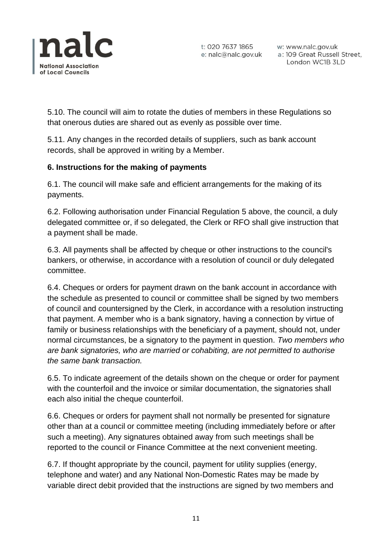

w: www.nalc.gov.uk a: 109 Great Russell Street, London WC1B 3LD

5.10. The council will aim to rotate the duties of members in these Regulations so that onerous duties are shared out as evenly as possible over time.

5.11. Any changes in the recorded details of suppliers, such as bank account records, shall be approved in writing by a Member.

# **6. Instructions for the making of payments**

6.1. The council will make safe and efficient arrangements for the making of its payments.

6.2. Following authorisation under Financial Regulation 5 above, the council, a duly delegated committee or, if so delegated, the Clerk or RFO shall give instruction that a payment shall be made.

6.3. All payments shall be affected by cheque or other instructions to the council's bankers, or otherwise, in accordance with a resolution of council or duly delegated committee.

6.4. Cheques or orders for payment drawn on the bank account in accordance with the schedule as presented to council or committee shall be signed by two members of council and countersigned by the Clerk, in accordance with a resolution instructing that payment. A member who is a bank signatory, having a connection by virtue of family or business relationships with the beneficiary of a payment, should not, under normal circumstances, be a signatory to the payment in question. *Two members who are bank signatories, who are married or cohabiting, are not permitted to authorise the same bank transaction.*

6.5. To indicate agreement of the details shown on the cheque or order for payment with the counterfoil and the invoice or similar documentation, the signatories shall each also initial the cheque counterfoil.

6.6. Cheques or orders for payment shall not normally be presented for signature other than at a council or committee meeting (including immediately before or after such a meeting). Any signatures obtained away from such meetings shall be reported to the council or Finance Committee at the next convenient meeting.

6.7. If thought appropriate by the council, payment for utility supplies (energy, telephone and water) and any National Non-Domestic Rates may be made by variable direct debit provided that the instructions are signed by two members and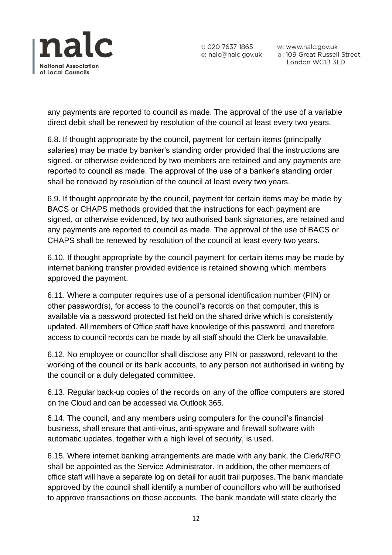

w: www.nalc.gov.uk a: 109 Great Russell Street, London WC1B 3LD

any payments are reported to council as made. The approval of the use of a variable direct debit shall be renewed by resolution of the council at least every two years.

6.8. If thought appropriate by the council, payment for certain items (principally salaries) may be made by banker's standing order provided that the instructions are signed, or otherwise evidenced by two members are retained and any payments are reported to council as made. The approval of the use of a banker's standing order shall be renewed by resolution of the council at least every two years.

6.9. If thought appropriate by the council, payment for certain items may be made by BACS or CHAPS methods provided that the instructions for each payment are signed, or otherwise evidenced, by two authorised bank signatories, are retained and any payments are reported to council as made. The approval of the use of BACS or CHAPS shall be renewed by resolution of the council at least every two years.

6.10. If thought appropriate by the council payment for certain items may be made by internet banking transfer provided evidence is retained showing which members approved the payment.

6.11. Where a computer requires use of a personal identification number (PIN) or other password(s), for access to the council's records on that computer, this is available via a password protected list held on the shared drive which is consistently updated. All members of Office staff have knowledge of this password, and therefore access to council records can be made by all staff should the Clerk be unavailable.

6.12. No employee or councillor shall disclose any PIN or password, relevant to the working of the council or its bank accounts, to any person not authorised in writing by the council or a duly delegated committee.

6.13. Regular back-up copies of the records on any of the office computers are stored on the Cloud and can be accessed via Outlook 365.

6.14. The council, and any members using computers for the council's financial business, shall ensure that anti-virus, anti-spyware and firewall software with automatic updates, together with a high level of security, is used.

6.15. Where internet banking arrangements are made with any bank, the Clerk/RFO shall be appointed as the Service Administrator. In addition, the other members of office staff will have a separate log on detail for audit trail purposes. The bank mandate approved by the council shall identify a number of councillors who will be authorised to approve transactions on those accounts. The bank mandate will state clearly the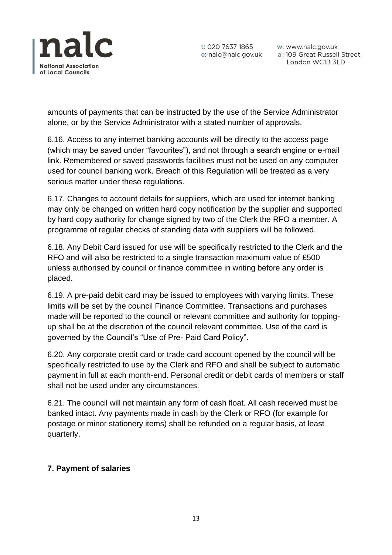

w: www.nalc.gov.uk a: 109 Great Russell Street, London WC1B 3LD

amounts of payments that can be instructed by the use of the Service Administrator alone, or by the Service Administrator with a stated number of approvals.

6.16. Access to any internet banking accounts will be directly to the access page (which may be saved under "favourites"), and not through a search engine or e-mail link. Remembered or saved passwords facilities must not be used on any computer used for council banking work. Breach of this Regulation will be treated as a very serious matter under these regulations.

6.17. Changes to account details for suppliers, which are used for internet banking may only be changed on written hard copy notification by the supplier and supported by hard copy authority for change signed by two of the Clerk the RFO a member. A programme of regular checks of standing data with suppliers will be followed.

6.18. Any Debit Card issued for use will be specifically restricted to the Clerk and the RFO and will also be restricted to a single transaction maximum value of £500 unless authorised by council or finance committee in writing before any order is placed.

6.19. A pre-paid debit card may be issued to employees with varying limits. These limits will be set by the council Finance Committee. Transactions and purchases made will be reported to the council or relevant committee and authority for toppingup shall be at the discretion of the council relevant committee. Use of the card is governed by the Council's "Use of Pre- Paid Card Policy".

6.20. Any corporate credit card or trade card account opened by the council will be specifically restricted to use by the Clerk and RFO and shall be subject to automatic payment in full at each month-end. Personal credit or debit cards of members or staff shall not be used under any circumstances.

6.21. The council will not maintain any form of cash float. All cash received must be banked intact. Any payments made in cash by the Clerk or RFO (for example for postage or minor stationery items) shall be refunded on a regular basis, at least quarterly.

# **7. Payment of salaries**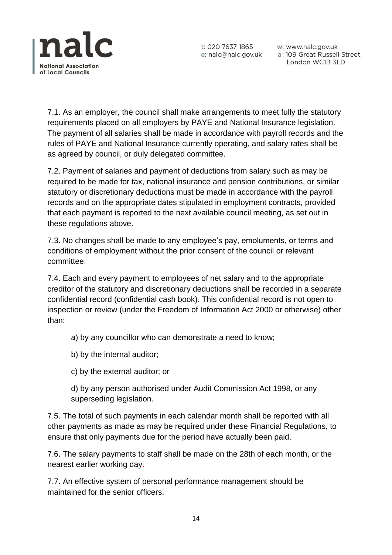

w: www.nalc.gov.uk a: 109 Great Russell Street, London WC1B 3LD

7.1. As an employer, the council shall make arrangements to meet fully the statutory requirements placed on all employers by PAYE and National Insurance legislation. The payment of all salaries shall be made in accordance with payroll records and the rules of PAYE and National Insurance currently operating, and salary rates shall be as agreed by council, or duly delegated committee.

7.2. Payment of salaries and payment of deductions from salary such as may be required to be made for tax, national insurance and pension contributions, or similar statutory or discretionary deductions must be made in accordance with the payroll records and on the appropriate dates stipulated in employment contracts, provided that each payment is reported to the next available council meeting, as set out in these regulations above.

7.3. No changes shall be made to any employee's pay, emoluments, or terms and conditions of employment without the prior consent of the council or relevant committee.

7.4. Each and every payment to employees of net salary and to the appropriate creditor of the statutory and discretionary deductions shall be recorded in a separate confidential record (confidential cash book). This confidential record is not open to inspection or review (under the Freedom of Information Act 2000 or otherwise) other than:

- a) by any councillor who can demonstrate a need to know;
- b) by the internal auditor;
- c) by the external auditor; or

d) by any person authorised under Audit Commission Act 1998, or any superseding legislation.

7.5. The total of such payments in each calendar month shall be reported with all other payments as made as may be required under these Financial Regulations, to ensure that only payments due for the period have actually been paid.

7.6. The salary payments to staff shall be made on the 28th of each month, or the nearest earlier working day.

7.7. An effective system of personal performance management should be maintained for the senior officers.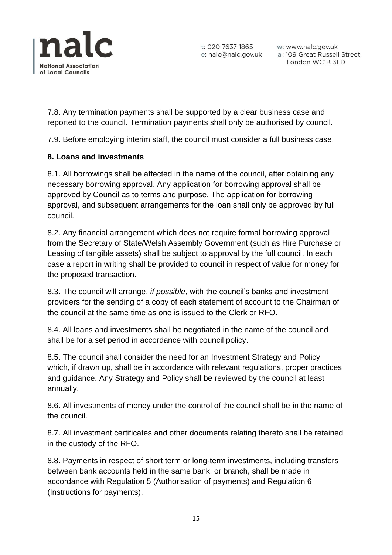

w: www.nalc.gov.uk a: 109 Great Russell Street, London WC1B 3LD

7.8. Any termination payments shall be supported by a clear business case and reported to the council. Termination payments shall only be authorised by council.

7.9. Before employing interim staff, the council must consider a full business case.

# **8. Loans and investments**

8.1. All borrowings shall be affected in the name of the council, after obtaining any necessary borrowing approval. Any application for borrowing approval shall be approved by Council as to terms and purpose. The application for borrowing approval, and subsequent arrangements for the loan shall only be approved by full council.

8.2. Any financial arrangement which does not require formal borrowing approval from the Secretary of State/Welsh Assembly Government (such as Hire Purchase or Leasing of tangible assets) shall be subject to approval by the full council. In each case a report in writing shall be provided to council in respect of value for money for the proposed transaction.

8.3. The council will arrange, *if possible*, with the council's banks and investment providers for the sending of a copy of each statement of account to the Chairman of the council at the same time as one is issued to the Clerk or RFO.

8.4. All loans and investments shall be negotiated in the name of the council and shall be for a set period in accordance with council policy.

8.5. The council shall consider the need for an Investment Strategy and Policy which, if drawn up, shall be in accordance with relevant regulations, proper practices and guidance. Any Strategy and Policy shall be reviewed by the council at least annually.

8.6. All investments of money under the control of the council shall be in the name of the council.

8.7. All investment certificates and other documents relating thereto shall be retained in the custody of the RFO.

8.8. Payments in respect of short term or long-term investments, including transfers between bank accounts held in the same bank, or branch, shall be made in accordance with Regulation 5 (Authorisation of payments) and Regulation 6 (Instructions for payments).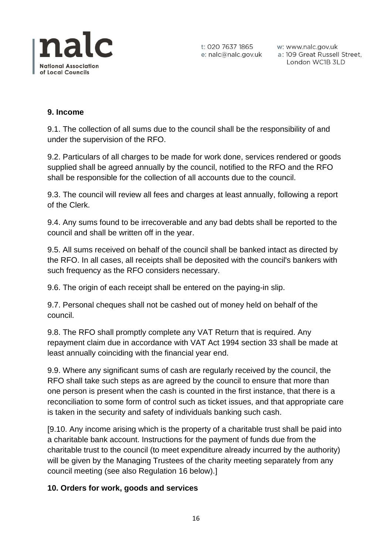

w: www.nalc.gov.uk a: 109 Great Russell Street, London WC1B 3LD

### **9. Income**

9.1. The collection of all sums due to the council shall be the responsibility of and under the supervision of the RFO.

9.2. Particulars of all charges to be made for work done, services rendered or goods supplied shall be agreed annually by the council, notified to the RFO and the RFO shall be responsible for the collection of all accounts due to the council.

9.3. The council will review all fees and charges at least annually, following a report of the Clerk.

9.4. Any sums found to be irrecoverable and any bad debts shall be reported to the council and shall be written off in the year.

9.5. All sums received on behalf of the council shall be banked intact as directed by the RFO. In all cases, all receipts shall be deposited with the council's bankers with such frequency as the RFO considers necessary.

9.6. The origin of each receipt shall be entered on the paying-in slip.

9.7. Personal cheques shall not be cashed out of money held on behalf of the council.

9.8. The RFO shall promptly complete any VAT Return that is required. Any repayment claim due in accordance with VAT Act 1994 section 33 shall be made at least annually coinciding with the financial year end.

9.9. Where any significant sums of cash are regularly received by the council, the RFO shall take such steps as are agreed by the council to ensure that more than one person is present when the cash is counted in the first instance, that there is a reconciliation to some form of control such as ticket issues, and that appropriate care is taken in the security and safety of individuals banking such cash.

[9.10. Any income arising which is the property of a charitable trust shall be paid into a charitable bank account. Instructions for the payment of funds due from the charitable trust to the council (to meet expenditure already incurred by the authority) will be given by the Managing Trustees of the charity meeting separately from any council meeting (see also Regulation 16 below).]

#### **10. Orders for work, goods and services**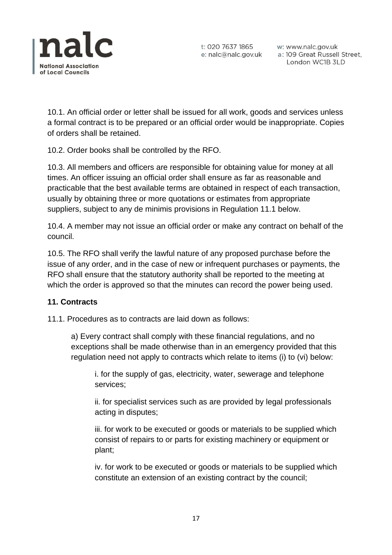

t: 020 7637 1865 w: www.nalc.gov.uk<br>e: nalc@nalc.gov.uk a: 109 Great Russell Street, London WC1B 3LD

10.1. An official order or letter shall be issued for all work, goods and services unless a formal contract is to be prepared or an official order would be inappropriate. Copies of orders shall be retained.

10.2. Order books shall be controlled by the RFO.

10.3. All members and officers are responsible for obtaining value for money at all times. An officer issuing an official order shall ensure as far as reasonable and practicable that the best available terms are obtained in respect of each transaction, usually by obtaining three or more quotations or estimates from appropriate suppliers, subject to any de minimis provisions in Regulation 11.1 below.

10.4. A member may not issue an official order or make any contract on behalf of the council.

10.5. The RFO shall verify the lawful nature of any proposed purchase before the issue of any order, and in the case of new or infrequent purchases or payments, the RFO shall ensure that the statutory authority shall be reported to the meeting at which the order is approved so that the minutes can record the power being used.

#### **11. Contracts**

11.1. Procedures as to contracts are laid down as follows:

a) Every contract shall comply with these financial regulations, and no exceptions shall be made otherwise than in an emergency provided that this regulation need not apply to contracts which relate to items (i) to (vi) below:

i. for the supply of gas, electricity, water, sewerage and telephone services;

ii. for specialist services such as are provided by legal professionals acting in disputes;

iii. for work to be executed or goods or materials to be supplied which consist of repairs to or parts for existing machinery or equipment or plant;

iv. for work to be executed or goods or materials to be supplied which constitute an extension of an existing contract by the council;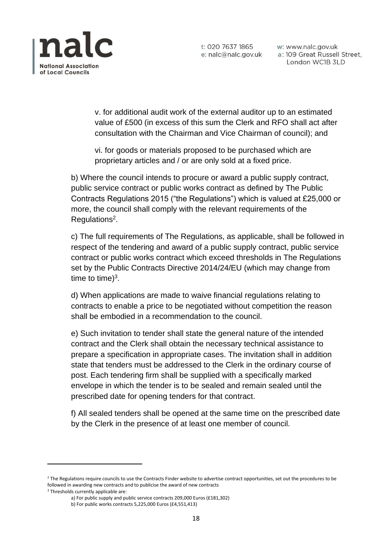

w: www.nalc.gov.uk a: 109 Great Russell Street, London WC1B 3LD

v. for additional audit work of the external auditor up to an estimated value of £500 (in excess of this sum the Clerk and RFO shall act after consultation with the Chairman and Vice Chairman of council); and

vi. for goods or materials proposed to be purchased which are proprietary articles and / or are only sold at a fixed price.

b) Where the council intends to procure or award a public supply contract, public service contract or public works contract as defined by The Public Contracts Regulations 2015 ("the Regulations") which is valued at £25,000 or more, the council shall comply with the relevant requirements of the Regulations<sup>2</sup>.

c) The full requirements of The Regulations, as applicable, shall be followed in respect of the tendering and award of a public supply contract, public service contract or public works contract which exceed thresholds in The Regulations set by the Public Contracts Directive 2014/24/EU (which may change from time to time) $3$ .

d) When applications are made to waive financial regulations relating to contracts to enable a price to be negotiated without competition the reason shall be embodied in a recommendation to the council.

e) Such invitation to tender shall state the general nature of the intended contract and the Clerk shall obtain the necessary technical assistance to prepare a specification in appropriate cases. The invitation shall in addition state that tenders must be addressed to the Clerk in the ordinary course of post. Each tendering firm shall be supplied with a specifically marked envelope in which the tender is to be sealed and remain sealed until the prescribed date for opening tenders for that contract.

f) All sealed tenders shall be opened at the same time on the prescribed date by the Clerk in the presence of at least one member of council.

<sup>&</sup>lt;sup>2</sup> The Regulations require councils to use the Contracts Finder website to advertise contract opportunities, set out the procedures to be followed in awarding new contracts and to publicise the award of new contracts

<sup>&</sup>lt;sup>3</sup> Thresholds currently applicable are:

a) For public supply and public service contracts 209,000 Euros (£181,302)

b) For public works contracts 5,225,000 Euros (£4,551,413)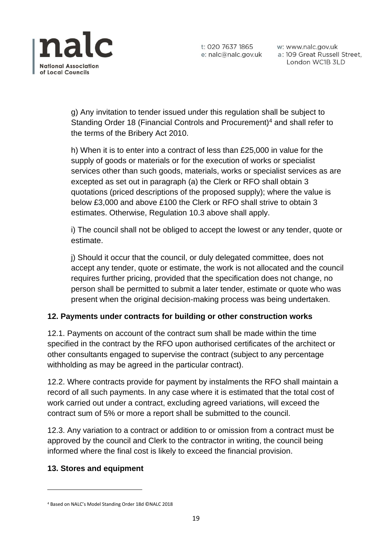

w: www.nalc.gov.uk a: 109 Great Russell Street, London WC1B 3LD

g) Any invitation to tender issued under this regulation shall be subject to Standing Order 18 (Financial Controls and Procurement)<sup>4</sup> and shall refer to the terms of the Bribery Act 2010.

h) When it is to enter into a contract of less than £25,000 in value for the supply of goods or materials or for the execution of works or specialist services other than such goods, materials, works or specialist services as are excepted as set out in paragraph (a) the Clerk or RFO shall obtain 3 quotations (priced descriptions of the proposed supply); where the value is below £3,000 and above £100 the Clerk or RFO shall strive to obtain 3 estimates. Otherwise, Regulation 10.3 above shall apply.

i) The council shall not be obliged to accept the lowest or any tender, quote or estimate.

j) Should it occur that the council, or duly delegated committee, does not accept any tender, quote or estimate, the work is not allocated and the council requires further pricing, provided that the specification does not change, no person shall be permitted to submit a later tender, estimate or quote who was present when the original decision-making process was being undertaken.

# **12. Payments under contracts for building or other construction works**

12.1. Payments on account of the contract sum shall be made within the time specified in the contract by the RFO upon authorised certificates of the architect or other consultants engaged to supervise the contract (subject to any percentage withholding as may be agreed in the particular contract).

12.2. Where contracts provide for payment by instalments the RFO shall maintain a record of all such payments. In any case where it is estimated that the total cost of work carried out under a contract, excluding agreed variations, will exceed the contract sum of 5% or more a report shall be submitted to the council.

12.3. Any variation to a contract or addition to or omission from a contract must be approved by the council and Clerk to the contractor in writing, the council being informed where the final cost is likely to exceed the financial provision.

### **13. Stores and equipment**

<sup>4</sup> Based on NALC's Model Standing Order 18d ©NALC 2018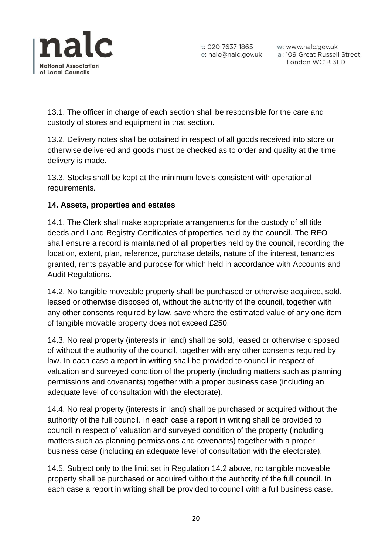

w: www.nalc.gov.uk a: 109 Great Russell Street, London WC1B 3LD

13.1. The officer in charge of each section shall be responsible for the care and custody of stores and equipment in that section.

13.2. Delivery notes shall be obtained in respect of all goods received into store or otherwise delivered and goods must be checked as to order and quality at the time delivery is made.

13.3. Stocks shall be kept at the minimum levels consistent with operational requirements.

# **14. Assets, properties and estates**

14.1. The Clerk shall make appropriate arrangements for the custody of all title deeds and Land Registry Certificates of properties held by the council. The RFO shall ensure a record is maintained of all properties held by the council, recording the location, extent, plan, reference, purchase details, nature of the interest, tenancies granted, rents payable and purpose for which held in accordance with Accounts and Audit Regulations.

14.2. No tangible moveable property shall be purchased or otherwise acquired, sold, leased or otherwise disposed of, without the authority of the council, together with any other consents required by law, save where the estimated value of any one item of tangible movable property does not exceed £250.

14.3. No real property (interests in land) shall be sold, leased or otherwise disposed of without the authority of the council, together with any other consents required by law. In each case a report in writing shall be provided to council in respect of valuation and surveyed condition of the property (including matters such as planning permissions and covenants) together with a proper business case (including an adequate level of consultation with the electorate).

14.4. No real property (interests in land) shall be purchased or acquired without the authority of the full council. In each case a report in writing shall be provided to council in respect of valuation and surveyed condition of the property (including matters such as planning permissions and covenants) together with a proper business case (including an adequate level of consultation with the electorate).

14.5. Subject only to the limit set in Regulation 14.2 above, no tangible moveable property shall be purchased or acquired without the authority of the full council. In each case a report in writing shall be provided to council with a full business case.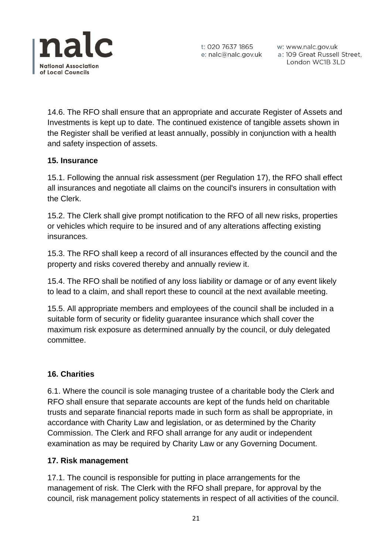

w: www.nalc.gov.uk a: 109 Great Russell Street, London WC1B 3LD

14.6. The RFO shall ensure that an appropriate and accurate Register of Assets and Investments is kept up to date. The continued existence of tangible assets shown in the Register shall be verified at least annually, possibly in conjunction with a health and safety inspection of assets.

### **15. Insurance**

15.1. Following the annual risk assessment (per Regulation 17), the RFO shall effect all insurances and negotiate all claims on the council's insurers in consultation with the Clerk.

15.2. The Clerk shall give prompt notification to the RFO of all new risks, properties or vehicles which require to be insured and of any alterations affecting existing insurances.

15.3. The RFO shall keep a record of all insurances effected by the council and the property and risks covered thereby and annually review it.

15.4. The RFO shall be notified of any loss liability or damage or of any event likely to lead to a claim, and shall report these to council at the next available meeting.

15.5. All appropriate members and employees of the council shall be included in a suitable form of security or fidelity guarantee insurance which shall cover the maximum risk exposure as determined annually by the council, or duly delegated committee.

### **16. Charities**

6.1. Where the council is sole managing trustee of a charitable body the Clerk and RFO shall ensure that separate accounts are kept of the funds held on charitable trusts and separate financial reports made in such form as shall be appropriate, in accordance with Charity Law and legislation, or as determined by the Charity Commission. The Clerk and RFO shall arrange for any audit or independent examination as may be required by Charity Law or any Governing Document.

#### **17. Risk management**

17.1. The council is responsible for putting in place arrangements for the management of risk. The Clerk with the RFO shall prepare, for approval by the council, risk management policy statements in respect of all activities of the council.